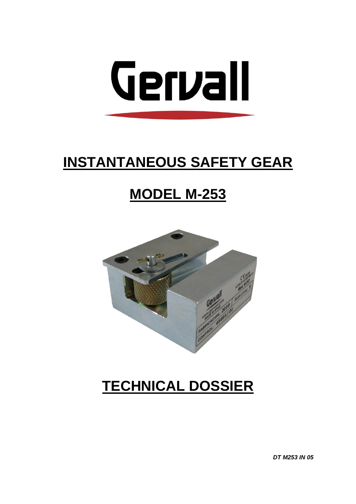

# **INSTANTANEOUS SAFETY GEAR**

# **MODEL M-253**



# **TECHNICAL DOSSIER**

**DT M253 IN 05**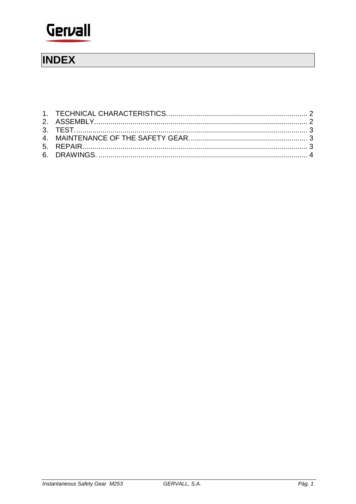

## **INDEX**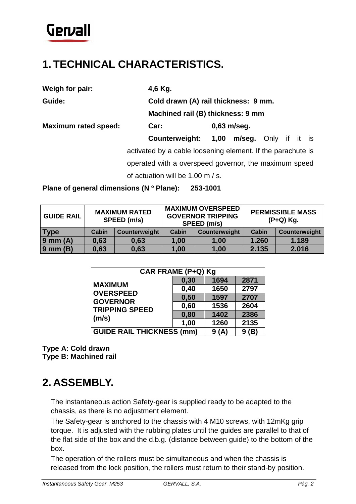

#### <span id="page-3-0"></span>**1. TECHNICAL CHARACTERISTICS.**

**Weigh for pair: 4,6 Kg.**

**Guide: Cold drawn (A) rail thickness: 9 mm.**

**Machined rail (B) thickness: 9 mm**

**Maximum rated speed: Car: 0,63 m/seg.**

**Counterweight: 1,00 m/seg.** Only if it is activated by a cable loosening element. If the parachute is operated with a overspeed governor, the maximum speed of actuation will be 1.00 m / s.

**Plane of general dimensions (N º Plane): 253-1001**

| <b>GUIDE RAIL</b> | <b>MAXIMUM RATED</b><br>SPEED (m/s) |               | <b>MAXIMUM OVERSPEED</b><br><b>GOVERNOR TRIPPING</b><br>SPEED (m/s) |               | <b>PERMISSIBLE MASS</b><br>(P+Q) Kg. |               |
|-------------------|-------------------------------------|---------------|---------------------------------------------------------------------|---------------|--------------------------------------|---------------|
| <b>Type</b>       | Cabin                               | Counterweight | Cabin                                                               | Counterweight | Cabin                                | Counterweight |
| $9$ mm $(A)$      | 0,63                                | 0,63          | 1,00                                                                | 1,00          | 1.260                                | 1.189         |
| $9$ mm $(B)$      | 0,63                                | 0,63          | 1,00                                                                | 1,00          | 2.135                                | 2.016         |

| CAR FRAME (P+Q) Kg                                                             |      |          |      |  |  |  |
|--------------------------------------------------------------------------------|------|----------|------|--|--|--|
| <b>MAXIMUM</b><br><b>OVERSPEED</b><br><b>GOVERNOR</b><br><b>TRIPPING SPEED</b> | 0,30 | 1694     | 2871 |  |  |  |
|                                                                                | 0,40 | 1650     | 2797 |  |  |  |
|                                                                                | 0,50 | 1597     | 2707 |  |  |  |
|                                                                                | 0,60 | 1536     | 2604 |  |  |  |
| (m/s)                                                                          | 0,80 | 1402     | 2386 |  |  |  |
|                                                                                | 1,00 | 1260     | 2135 |  |  |  |
| <b>GUIDE RAIL THICKNESS (mm)</b>                                               | 9(A) | (B)<br>9 |      |  |  |  |

**Type A: Cold drawn Type B: Machined rail**

#### <span id="page-3-1"></span>**2. ASSEMBLY.**

The instantaneous action Safety-gear is supplied ready to be adapted to the chassis, as there is no adjustment element.

The Safety-gear is anchored to the chassis with 4 M10 screws, with 12mKg grip torque. It is adjusted with the rubbing plates until the guides are parallel to that of the flat side of the box and the d.b.g. (distance between guide) to the bottom of the box.

The operation of the rollers must be simultaneous and when the chassis is released from the lock position, the rollers must return to their stand-by position.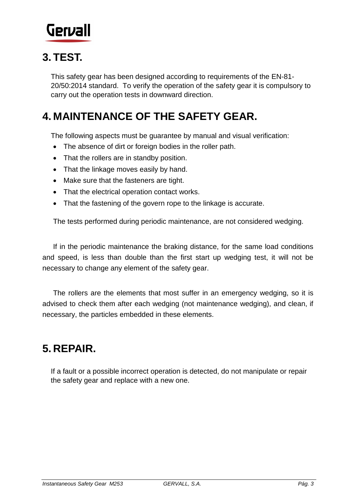

### <span id="page-4-0"></span>**3. TEST.**

This safety gear has been designed according to requirements of the EN-81- 20/50:2014 standard. To verify the operation of the safety gear it is compulsory to carry out the operation tests in downward direction.

### <span id="page-4-1"></span>**4. MAINTENANCE OF THE SAFETY GEAR.**

The following aspects must be guarantee by manual and visual verification:

- The absence of dirt or foreign bodies in the roller path.
- That the rollers are in standby position.
- That the linkage moves easily by hand.
- Make sure that the fasteners are tight.
- That the electrical operation contact works.
- That the fastening of the govern rope to the linkage is accurate.

The tests performed during periodic maintenance, are not considered wedging.

If in the periodic maintenance the braking distance, for the same load conditions and speed, is less than double than the first start up wedging test, it will not be necessary to change any element of the safety gear.

The rollers are the elements that most suffer in an emergency wedging, so it is advised to check them after each wedging (not maintenance wedging), and clean, if necessary, the particles embedded in these elements.

### <span id="page-4-2"></span>**5. REPAIR.**

If a fault or a possible incorrect operation is detected, do not manipulate or repair the safety gear and replace with a new one.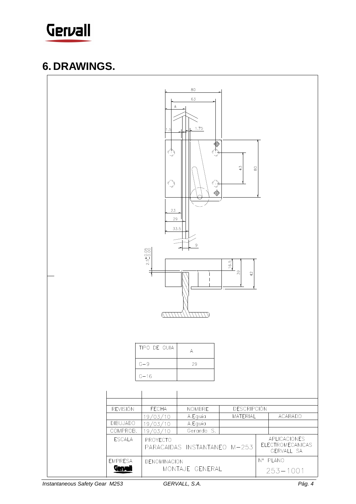

#### <span id="page-5-0"></span>**6. DRAWINGS.**